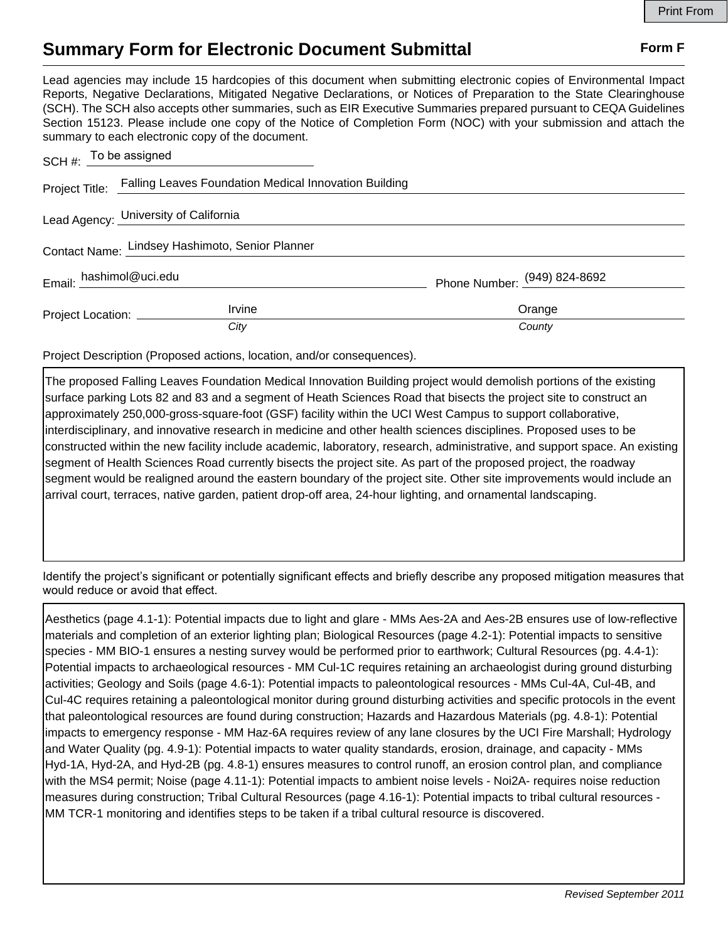## **Summary Form for Electronic Document Submittal Form F Form F**

Lead agencies may include 15 hardcopies of this document when submitting electronic copies of Environmental Impact Reports, Negative Declarations, Mitigated Negative Declarations, or Notices of Preparation to the State Clearinghouse (SCH). The SCH also accepts other summaries, such as EIR Executive Summaries prepared pursuant to CEQA Guidelines Section 15123. Please include one copy of the Notice of Completion Form (NOC) with your submission and attach the summary to each electronic copy of the document.

| SCH #: $To be assigned$               |                                                                      |                              |
|---------------------------------------|----------------------------------------------------------------------|------------------------------|
|                                       | Project Title: Falling Leaves Foundation Medical Innovation Building |                              |
| Lead Agency: University of California |                                                                      |                              |
|                                       | Contact Name: Lindsey Hashimoto, Senior Planner                      |                              |
| Email: hashimol@uci.edu               |                                                                      | Phone Number: (949) 824-8692 |
| Project Location: __________          | Irvine                                                               | Orange                       |
|                                       | City                                                                 | County                       |

Project Description (Proposed actions, location, and/or consequences).

The proposed Falling Leaves Foundation Medical Innovation Building project would demolish portions of the existing surface parking Lots 82 and 83 and a segment of Heath Sciences Road that bisects the project site to construct an approximately 250,000-gross-square-foot (GSF) facility within the UCI West Campus to support collaborative, interdisciplinary, and innovative research in medicine and other health sciences disciplines. Proposed uses to be constructed within the new facility include academic, laboratory, research, administrative, and support space. An existing segment of Health Sciences Road currently bisects the project site. As part of the proposed project, the roadway segment would be realigned around the eastern boundary of the project site. Other site improvements would include an arrival court, terraces, native garden, patient drop-off area, 24-hour lighting, and ornamental landscaping.

Identify the project's significant or potentially significant effects and briefly describe any proposed mitigation measures that would reduce or avoid that effect.

Aesthetics (page 4.1-1): Potential impacts due to light and glare - MMs Aes-2A and Aes-2B ensures use of low-reflective materials and completion of an exterior lighting plan; Biological Resources (page 4.2-1): Potential impacts to sensitive species - MM BIO-1 ensures a nesting survey would be performed prior to earthwork; Cultural Resources (pg. 4.4-1): Potential impacts to archaeological resources - MM Cul-1C requires retaining an archaeologist during ground disturbing activities; Geology and Soils (page 4.6-1): Potential impacts to paleontological resources - MMs Cul-4A, Cul-4B, and Cul-4C requires retaining a paleontological monitor during ground disturbing activities and specific protocols in the event that paleontological resources are found during construction; Hazards and Hazardous Materials (pg. 4.8-1): Potential impacts to emergency response - MM Haz-6A requires review of any lane closures by the UCI Fire Marshall; Hydrology and Water Quality (pg. 4.9-1): Potential impacts to water quality standards, erosion, drainage, and capacity - MMs Hyd-1A, Hyd-2A, and Hyd-2B (pg. 4.8-1) ensures measures to control runoff, an erosion control plan, and compliance with the MS4 permit; Noise (page 4.11-1): Potential impacts to ambient noise levels - Noi2A- requires noise reduction measures during construction; Tribal Cultural Resources (page 4.16-1): Potential impacts to tribal cultural resources - MM TCR-1 monitoring and identifies steps to be taken if a tribal cultural resource is discovered.